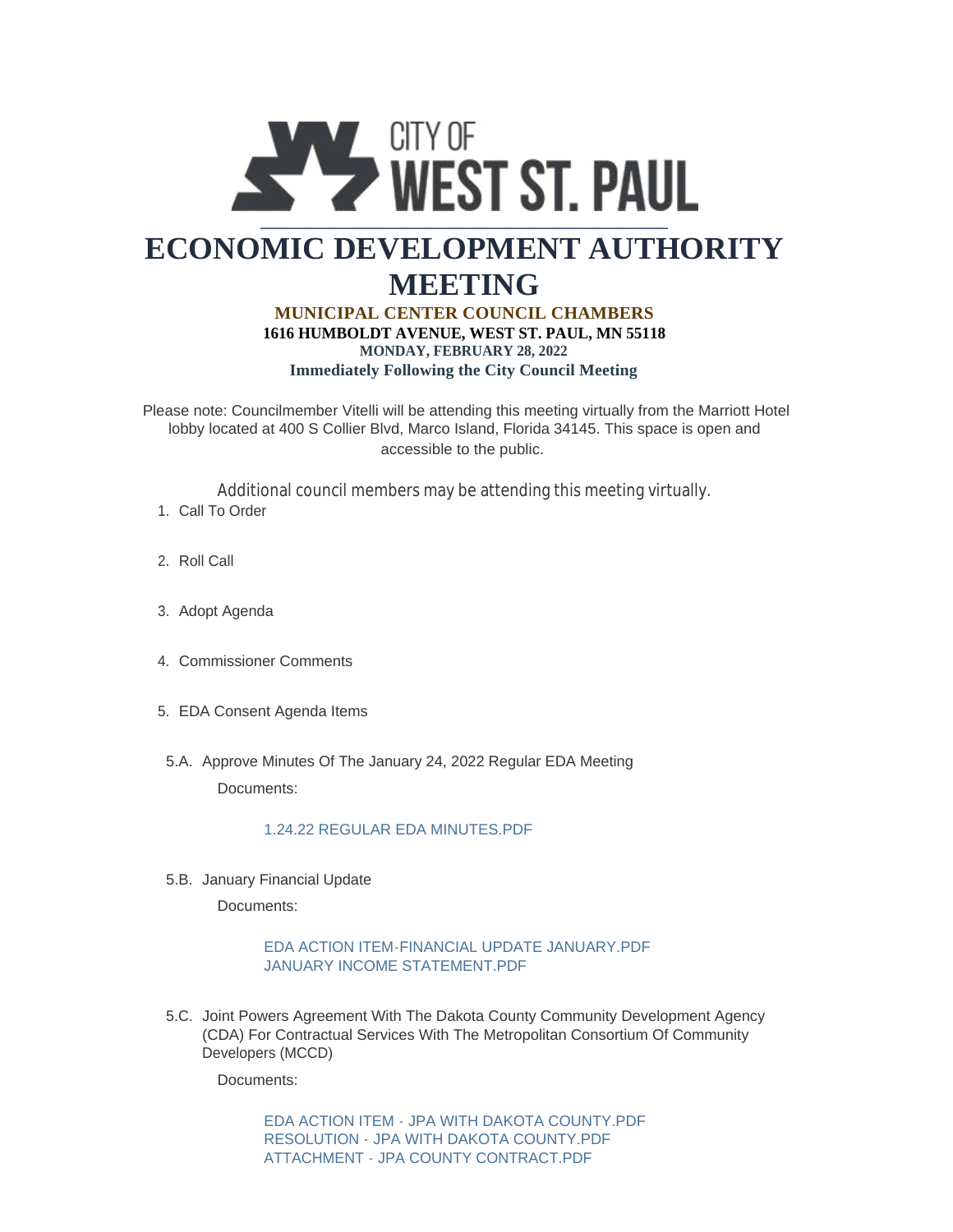

## **ECONOMIC DEVELOPMENT AUTHORITY MEETING**

## **MUNICIPAL CENTER COUNCIL CHAMBERS 1616 HUMBOLDT AVENUE, WEST ST. PAUL, MN 55118 MONDAY, FEBRUARY 28, 2022 Immediately Following the City Council Meeting**

Please note: Councilmember Vitelli will be attending this meeting virtually from the Marriott Hotel lobby located at 400 S Collier Blvd, Marco Island, Florida 34145. This space is open and accessible to the public.

Additional council members may be attending this meeting virtually. 1. Call To Order

- 2. Roll Call
- 3. Adopt Agenda
- 4. Commissioner Comments
- EDA Consent Agenda Items 5.
- 5.A. Approve Minutes Of The January 24, 2022 Regular EDA Meeting Documents:

## [1.24.22 REGULAR EDA MINUTES.PDF](https://www.wspmn.gov/AgendaCenter/ViewFile/Item/12583?fileID=19567)

5.B. January Financial Update

Documents:

## [EDA ACTION ITEM-FINANCIAL UPDATE JANUARY.PDF](https://www.wspmn.gov/AgendaCenter/ViewFile/Item/12581?fileID=19561) [JANUARY INCOME STATEMENT.PDF](https://www.wspmn.gov/AgendaCenter/ViewFile/Item/12581?fileID=19562)

5.C. Joint Powers Agreement With The Dakota County Community Development Agency (CDA) For Contractual Services With The Metropolitan Consortium Of Community Developers (MCCD)

Documents:

[EDA ACTION ITEM - JPA WITH DAKOTA COUNTY.PDF](https://www.wspmn.gov/AgendaCenter/ViewFile/Item/12575?fileID=19569) [RESOLUTION - JPA WITH DAKOTA COUNTY.PDF](https://www.wspmn.gov/AgendaCenter/ViewFile/Item/12575?fileID=19570) [ATTACHMENT - JPA COUNTY CONTRACT.PDF](https://www.wspmn.gov/AgendaCenter/ViewFile/Item/12575?fileID=19571)